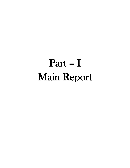# Part – I Main Report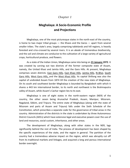### *Chapter 1*

## **Meghalaya: A Socio-Economic Profile and Projections**

Meghalaya, one of the most picturesque states in the north-east of the country, is home to two major tribal groups — the Khasis and the Garos — apart from several smaller tribes. The state's area, largely comprising tablelands and hill regions, is heavily forested and criss-crossed by several rivers. It is an abode of tremendous biodiversity, and the soil and climate are conducive to the cultivation of a large variety of agricultural crops, horticultural produce, and flowers.

As a state of the Indian Union, Meghalaya came into being on **21 January 1972**. It was created by carving out two districts of the former composite state of Assam, namely, the United Khasi and Jaintia Hills, and the Garo Hills. At present, Meghalaya comprises seven districts: East Garo Hills, East Khasi Hills, Jaintia Hills, Ri-Bhoi, South Garo Hills, West Garo Hills, and the West Khasi Hills. Its capital Shillong was also the capital of undivided Assam from 1874 till the creation of the new state of Meghalaya. On its south and southwest border Meghalaya is bounded by Bangladesh with which it shares a 443 km international border, to its north and northwest is the Brahmaputra valley of Assam, while Assam's Cachar region lies to its east.

Meghalaya is one of eight states in the north-eastern region (NER) of the country, the other seven being Arunachal Pradesh, Assam, Manipur, Mizoram, Nagaland, Sikkim, and Tripura. The entire state of Meghalaya (along with the state of Mizoram and parts of Assam and Tripura) falls under the Sixth Schedule of the Constitution, which prescribes a separate code for the governance of tribal areas in the country. Administration of the districts in the state is undertaken by three Autonomous District Councils (ADCs) which have extensive legal and executive powers over the use of land and resources, social custom, inheritance, and other areas.

The development of Meghalaya, along with other states in the NER, lags significantly behind the rest of India. The process of development has been shaped by the specific experiences of the state, and the region in general. The partition of the country had a tremendous adverse impact on the region, which was abruptly cut off from its traditional markets and linkages, and acquired a long and porous international border overnight.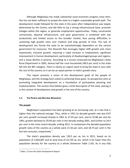Although Meghalaya has made substantial socio-economic progress since then, this has not been sufficient to propel the state to a higher sustainable growth path. The development model followed for the state in the years after Independence was largely determined by the Centre, and did little to lay a strong infrastructural base, promote linkages within the region, or generate employment opportunities. Today, constrained connectivity, abysmal infrastructure, and poor governance is combined with low productivity and limited access to the broader market, thus posing difficulties in sustaining high growth rates over medium and long periods of time. The lack of development has forced the state to be overwhelmingly dependent on the central government for resources. The Eleventh Plan envisages higher GDP growth and, more importantly, inclusive growth, requiring a rapid increase in employment, significant improvement in human development, particularly of disadvantaged groups and regions, and a sharp decline in poverty. According to a survey conducted by Meghalaya's State Rural Department in 2002, almost half the rural households (48.9 per cent) in the state fall into the BPL category. There is clearly an urgent need to bring the state in sync with the rest of the country so it can be an equal partner in India's growth story.

This report presents a vision of the development goals of the people of Meghalaya, and the strategy best suited to achieving these goals. Its perspective aims at promoting integrated development on a foundation of participative planning and implementation. The section that follows gives a brief description of the state, placing it in the context of development and growth in the rest of the country.

#### **1.1 THE PEOPLE AND NATURAL RESOURCES**

#### *The people*

 $\overline{a}$ 

Meghalaya's population has been growing at an increasing rate, at a rate that is higher than the national average. Thus, while in 1951 its decadal growth rate was 8.97 per cent, growth increased sharply in 1961 to 27.03 per cent, and to 32.86 per cent by 1991; growth declined to 29.94 per cent in the decade ending 2001, and further to 24.4 per cent in the most recent decade, ending 2011. In comparison the decadal population growth rates of the country as a whole were 21.56 per cent, and 18.74 per cent in the last two censuses, respectively. $1$ 

The state's population density was 130.5 per sq. km in 2011, based on its population of 2,964,007 and its land area of 22,720 sq. km, which is far lower than the population density for the country as a whole (*Annexure Table 1.A3*). As in any hilly

<sup>1</sup> *Table 1.2* from the State Development Report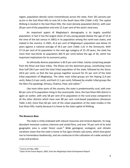region, population density varies tremendously across the state, from 241 persons per sq km in the East Khasi Hills to only 54 in the South Garo Hills (*Table 1.A3*). The capital Shillong is located in the East Khasi Hills, the most densely populated district, with over 28 per cent of the population and only 12.3 per cent of the state's land area.

An important aspect of Meghalaya's demography is its largely youthful population; in fact it has the largest share of very young people (below the age of 14 at the time of the last census in 2001) in its population among the north-east states, and indeed in the country: in 2001, 41.6 per cent of Meghalaya's population was below 14 years against a national average of 34.3 per cent (*Table 1.A1* in the Annexure). With 27.13 per cent of its population in the next age category of 15–29 years, the state has more than two-thirds its population (68.73 per cent) below the age of 30, which has important implications for its economic policy.

Its ethnically diverse population is 85.9 per cent tribal, mainly comprising people from the Khasi and Garo tribes. The Khasis are the dominant group, constituting more than half (56.4 per cent) the total tribal population of the state, followed by the Garos (34.6 per cent), so that the two groups together account for 91 per cent of the total tribal population of Meghalaya. The other main tribal groups are the Hajong (1.6 per cent), Raba (1.4 per cent), and Koch (1.1 per cent), followed by smaller tribal groups like the Man (Tai speaking), Dimasa, Chakma, Pawi, and Lakher. $^2$ 

Like most other parts of the country, the state is predominantly rural, with over 80 per cent of its population living in the countryside. Here, the East Khasi Hills district is again an outlier, with only 58 per cent of its population in the rural areas compared to all the other districts which have over 88 per cent rural-based populations (*Annexure Table 1.A2*); more than 60 per cent of the urban population of the state resides in the East Khasi Hills, mainly because it is home to the state capital of Shillong.

#### *The Resource Base*

The state is richly endowed with natural resources and mineral deposits. Its long, abundant monsoon sustains intensive and varied flora, and over 70 per cent of its total geographic area is under forest cover. $3$  Wide geological, ecological, and climatic variations mean that the state is home to five agro-climatic sub-zones, which have given rise to tremendous biodiversity, and are conducive to the cultivation of a wide variety of crops and produce.

 $\overline{a}$ 

 $2$  Census of India, 2001

<sup>3</sup> State of the Forest Report, 2005, from the *Meghalaya State Development Report*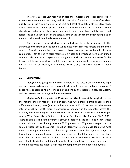The state also has vast reserves of coal and limestone and other commercially exploitable mineral deposits, along with rich deposits of uranium. Granite of excellent quality is at present being mined in the East and West Khasi Hills districts. Clay, which can be used in the ceramic, paper, rubber, and refractory industries, is found in some abundance, and minerals like gypsum, phosphorite, glass-sand, base metals, quartz, and feldspar exist in various parts of the state. Meghalaya is also credited with having one of the most valuable sillimanite deposits in the world.

The resource base of Meghalaya has unfortunately not been managed to the advantage of the state and the people. While most of the reserved forests are under the control of local communities, they have not been managed to the benefit of these communities. Of its rich mineral reserves, only coal and limestone have been mined commercially, but not in a systematic or organised fashion. Streams and rivers fed by heavy rainfall, cascading down the hill slopes, provide abundant hydropower potential, but of the assessed capacity of around 3,000 MW, only 185.2 MW has so far been tapped.

#### **1.2 SOCIAL PROFILE**

Along with its geological and climatic diversity, the state is characterised by large socio-economic variations across its seven districts, which are the combined outcome of geophysical conditions, the historic role of Shillong as the capital of undivided Assam, and the development strategy and priorities so far.

Meghalaya's literacy rate, at 75.48 per cent (2011 census), is marginally above the national literacy rate of 74.04 per cent. And while there is little gender related difference in literacy rates (with male literacy rates of 77.17 per cent and the female rate of 73.78 per cent), there is considerable variation in literacy rates across the districts, with rates ranging from a low of 63.26 per cent in Jaintia Hills and 68.38 per cent in West Garo Hills to 84.7 per cent in the East Khasi Hills (*Annexure Table 1.A3*). There is also a significant difference between literacy in the rural and urban areas: overall urban and rural literacy rates are 87.12 per cent and 57 per cent, respectively; in some districts such as the Jaintia Hills urban literacy rates are almost double the rural rates. More importantly, even as the average literacy rate in the region is marginally lower than the national average, there are concerns about the quality of education, which has not translated into higher employability or productivity. Further, the slow pace of industrialisation and limited capacity of the population to engage in productive economic activities has meant a high rate of unemployment and underemployment.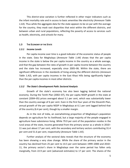This district-wise variation is further reflected in other major indicators such as the infant mortality rate and in access to basic amenities like electricity (*Annexure Table 1.A3*). Thus while the aggregate data for the state appears to be on par with the average for the country, they mask vast disparities that exist within the different districts, and between urban and rural populations, reflecting the poverty of access to services such as health, electricity, and schools for many.

#### **1.3 THE ECONOMY OF THE STATE**

#### *1.3.1 Income Levels*

Per capita income over time is a good indicator of the economic status of people in the state. Data for Meghalaya (*Annexure Table 1.A4*) shows that the per capita income in the state is below the per capita income in the country as a whole average, and that the gap between the rates of growth in per capita income between the country and the state has increased, especially since 2005–06. Within the state, there are significant differences in the standards of living among the different districts (*Annexure Table 1.A3*), with per capita incomes in the East Khasi Hills being significantly higher than the per capita incomes in most other districts.

#### *1.3.2 The State's Development Path: Sectoral Analysis*

Growth of the state's economy has also been lagging behind the national economy. During the Tenth Plan (2002–07), the per capita NSDP growth in the state at constant (2004–05) prices averaged about 5.1 per cent, which was substantially lower than the country average of 6 per cent. Even in the first four years of the Eleventh Plan, annual growth of the per capita NSDP in Meghalaya at 6.1 per cent lagged behind that of the country (6.4 per cent), though by a smaller margin.

As in the rest of India, an overwhelming proportion of Meghalaya's population depends on agriculture for its livelihood, but a large majority of the people engaged in agriculture have subsistence living. While 79.9 per cent of the population resides in the rural areas of the state, income generated from the primary sector as a whole in 2010– 11 was just about 17 per cent, with the secondary and tertiary sectors contributing 31.4 per cent and 51.6 per cent, respectively (*Annexure Table 1.A5*).

Further analysis of the sectoral data reveals that the structure of the economy has been showing a very slow change. While the share of the primary sector in the country has declined from 25 per cent to 14.5 per cent between 1999–2000 and 2010– 11, the primary sector's share in Meghalaya over the same period has fallen only marginally, from 22.9 per cent (advanced estimates) to 17 per cent. The shares of the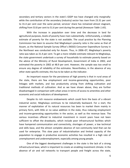secondary and tertiary sectors in the state's GSDP too have changed only marginally: while the contribution of the secondary (industry) sector has risen from 23.31 per cent to 31.4 per cent over the same period, services' share has remained almost stagnant, shifting from 53.8 per cent to 51.6 per cent during the period (*Annexure Table 1.A5*).

With the increase in population over time and the decrease in land for agricultural purposes, levels of poverty have risen substantially. Unfortunately, a reliable estimate of poverty for the state is not available. The usual practice by the Planning Commission has been to assume that Meghalaya's poverty ratio is the same as that of Assam, as the National Sample Survey Office's (NSSO) Consumer Expenditure Survey in the Northeast was conducted only for Assam. Thus, in 2006–07, Meghalaya's poverty ratio was taken as 31.4 per cent. To get a more reliable estimate relevant to Meghalaya, the state government undertook a survey of households to estimate poverty based on the advice of the Ministry of Rural Development, Government of India in 2002, and estimated the poverty in 2002 at 48.9 per cent. However, the sample was too small to ensure any degree of reliability of the estimates. Nevertheless, in the absence of any other state specific estimate, this has to be taken as the indicator.

An important reason for the persistence of high poverty is that in rural areas of the state, there are few employment and income-generating opportunities, poor linkages with markets, and low productivity arising from shifting cultivation and traditional methods of cultivation. And as we have shown above, they are further disadvantaged in comparison with urban areas in terms of access to amenities and other economic and social indicators of development.

Despite its rich resource endowments which could form the basis of a vibrant industrial sector, Meghalaya continues to be industrially backward. For a start, the manner of exploitation of its natural resources has been to market them mainly in primary form, with little or no value addition in the state, thus reducing employment and income-generating opportunities in the sector, as well as the revenue base. The various incentives offered to industrial investment in recent years have not been sufficient to offset the drawbacks, which include poor infrastructural facilities which have hampered communication and connectivity, shortages of power, a low technical and skills base, and the almost complete absence of non-community land that can be used for enterprise. This slow pace of industrialisation and limited capacity of the population to engage in productive economic activities has resulted in a high rate of unemployment and underemployment, especially among young people.

One of the biggest development challenges in the state is the lack of a strong infrastructural base, which is important to create an enabling investment climate. In the absence of air and rail networks to transport people and freight across the state,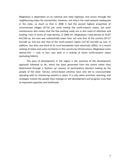Meghalaya is dependent on its national and state highways and access through the neighbouring states for connectivity. However, not only is the road network inadequate in the state, so much so that in 2008 it had the second highest proportion of unconnected villages (47.02 per cent) among the north-eastern states, but poor maintenance also means that the few existing roads are in dire need of attention and funding. Even in terms of road density, in 2006–07, Meghalaya's road density at 43.87 km/100 sq. km area was substantially lower than not only that of the country (97.57 km/100 sq. km) but also that of the north-eastern region (127.87 km/100 sq. km). In addition, less than one-third of its rural households have electricity (2001). In a recent ranking of states and union territories in the country by infrastructure, Meghalaya came twenty-first — and, in fact, was sixth in a ranking of seven north-eastern states (excluding Sikkim).

The pace of development in the region is the outcome of the development approach followed so far, which has been generated from the centre rather than determined through a 'bottom up' process of participatory decision making by the people of the state. Various centre-based schemes have only led to unaccountable spending with no monitoring systems in place. It is only when priorities, planning, and strategies involve the people they impinge on will development and progress truly lead to improved capacities and livelihoods.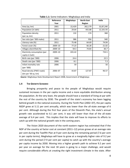|                              | Reference | Meghalaya | <b>North-East</b> | India     |
|------------------------------|-----------|-----------|-------------------|-----------|
|                              | Year      |           | Region            |           |
| Area (sq. km)                | 2001      | 22,429    | 262,179           | 32,87,240 |
| Population (in lakh)         | 2011      | 29.64     | 455.88            | 12,101.93 |
| Population density           | 2011      | 132       | 174               | 368       |
| (per sq. km)                 |           |           |                   |           |
| Sex ratio (per '000 males)   | 2011      | 986       | 956               | 940       |
| Literacy rate (%)            | 2011      | 75.48     | 64.69             | 74.04     |
| Forest cover (%)             | 2009-10   | 77.23     | 66.28             | 21.02     |
| Villages electrified (%)     | 2009-10   | 59.3      | 74.83             | 83.7      |
| Electricity consumption (per | 2009-10   | 655.42    |                   | 733.5     |
| capita in kwh)               |           |           |                   |           |
| Birth rate (per '000)        | 2006      | 24.4      |                   | 22.5      |
| Death rate (per '000)        | 2006      | 8.1       |                   | 7.3       |
| Infant mortality rate        | 2006      | 59        |                   | 50        |
| (per '000)                   |           |           |                   |           |
| Road density (PWD roads)     | 2006-07   | 43.87     | 127.87            | 96.57     |
| (km per '00 sq. km)          |           |           |                   |           |

**Table 1.1:** Some Indicators: Meghalaya and India

*Source*: Meghalaya State Development Report 2008, Government of Meghalaya

#### **1.4 THE GROWTH SCENARIO**

Bringing prosperity and peace to the people of Meghalaya would require sustained increases in the per capita income and a more equitable distribution among the population. At the very least, the people should have a standard of living at par with the rest of the country by 2030. The growth of the state's economy has been lagging behind growth in the national economy. During the Tenth Plan (2002–07), the per capita NSDP grew at 5.11 per cent annually, which was lower than the all-state average of 6 per cent. Although during the first four years of the Eleventh Plan, the state's annual growth rate accelerated to 6.1 per cent, it was still lower than that of the all-state average of 6.4 per cent. This implies that the state will have to improve its efforts to catch up with the national growth rate in the coming years.

The Vision 2020 document of the north-eastern region has estimated that if the NDP of the country at factor cost at constant (2011–12) prices grows at an average rate per cent during the Twelfth Plan at 9 per cent during the remaining period (7.6 per cent in per capita terms), Meghalaya will have to grow at a marginally higher rate of 9.2 per cent during the period (7.9 per cent per capita) to catch up with the country's average per capita income by 2030. Moving into a higher growth path to achieve 9.2 per cent per year on average for the next 18 years is going to a major challenge, and would require considerable efforts at creating the right investment climate in the state. After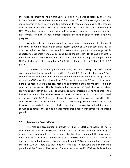the vision document for the North Eastern Region (NER) was adopted by the North Eastern Council in May 2008 in which all the states of the NER were signatories, not much appears to have been done to implement its recommendations on the ground, which would have created significant externalities to Meghalaya as well as the entire NER. Meghalaya, however, should proceed to evolve a strategy to create an enabling environment for inclusive development without any further delay to ensure its own progress.

With the national economy poised to grow at an average annual rate of about 9 per cent, this would result in per capita income growth of 7.74 per cent annually, as over the period, population is expected to decelerate and per capita income growth is expected to accelerate from 6.63 per cent during the Eleventh Plan to 7.76 per cent in the Fifteenth Plan period (*Annexure Table 1.A6*). Under this assumption, the per capita NDP (at factor cost) of the country in 2029–30 is estimated at Rs 2,17,855 at 2011–12 prices.

To achieve this level of per capita income, the NSDP in Meghalaya will have to grow annually at 9.2 per cent between 2013–14 and 2029–30, accelerating from 7.7 per cent during the Eleventh Plan to over 9 per cent during the Fifteenth Plan. The growth of per capita NSDP should accelerate from 6.5 per cent per year to 7.9 per cent per year during the respective Plan periods, requiring an average annual growth rate of 8.8 per cent during the period. This is clearly within the realm of feasibility. Nevertheless, growing consistently at over 9 per cent would require considerable efforts to ensure the flow of investment. This order of acceleration will be carried out in phases (as indicated in *Annexure table 1.A7*). Indeed, if favourable conditions for economic growth in the state are created, it is possible for the state to accelerate growth at a much faster rate to achieve per capita income levels higher than that of the country. Indeed, the target should be to achieve that and be a leader rather than a follower in terms of accelerating growth.

#### **1.5 FUNDING THE GROWTH PROCESS**

The required acceleration in growth of NSDP in Meghalaya would call for a substantial increase in investments in the state and an expansion in efficiency of resource use to promote higher productivity. We have estimated the investment requirements for achieving the required growth in GSDP in two alternative scenarios one by assuming the incremental capital-output ratio (ICOR) at 4, and another assuming that the ICOR will show a gradual decline from 4 to 3.6 between the Eleventh Plan period and the Fifteenth Plan period. There is no state-specific ICOR available and we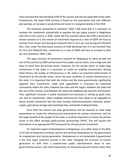have assumed that the prevailing ICOR of the country will also be applicable to the state. Furthermore, the lower ICOR scenario is based on the assumption that over different plan periods, an increase in productivity will result in a marginal decline in the ICOR.

The estimates (presented in *Annexure Table 1.A8*) show that it is necessary to increase the investment substantially to equalise the per capita income in Meghalaya with that of the country in 2030. Under the first scenario where the ICOR is assumed to remain constant at 4, the volume of investment required as a ratio of GSDP will have to increase from 29 per cent during the Eleventh Plan to 33.2 per cent during the Fifteenth Plan. Even under the alternative scenario of ICOR declining from 4 in the Eleventh Plan to 3.6 in the Fifteenth Plan, investment as a ratio of GSDP will have to increase to 30.6 per cent (*Annexure Table 1.A8*).

The large amounts of investment required for Meghalaya to catch up with the rest of the country by 2030 cannot come from public sources alone, and a large part will have to come from the private sector. However, for the private sector to make large investments in the state, it is necessary to create an enabling environment. Among other factors, the quality of infrastructure in the state is an important determinant of investment by the private sector. Given the poor condition of overall infrastructure in the state, it is important that both the Centre and the state governments significantly augment their investments. Large scale upgradation is necessary for improving connectivity within the state, between the state and the region, between the state and the rest of the country, and between the state and neighbouring countries and beyond. Thus, significant increases in public investment are necessary in setting up good road, rail, and air connectivity. Other enabling infrastructure that needs to be upgraded to attract private investment into the state includes telecommunication networks, power supply, agricultural storage and marketing links, and border trading facilities.

Since both the central and state governments will be required to make large investments to create the infrastructural environment for private investment, and for the larger benefit of the people of the state, it could be important to involve the private sector in the effort through public-private partnerships (PPPs). This will require the formulation of an appropriate PPP framework for infrastructural investment.

An important aspect of development in Meghalaya, as in other states in the NER, is the lack of productive economic activity and extreme dependence on the government for employment and income generation. Development is not sustainable if government is the only major economic activity in the state. Changing the structure of income generation to shift from a predominant public administration share to nongovernmental sectors, and more importantly, to manufacturing and services other than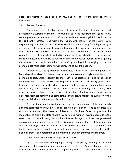public administration should be a priority, and will call for the entry of private investment.

#### **1.6 THE WAY FORWARD**

The people's vision for Meghalaya is to achieve happiness through peace and prosperity in a sustainable manner. They would like to see their state emerge as strong, secure, peaceful, prosperous, and confident; to embrace markets gainfully; and prepare to significantly increase trade within the region, with the rest of the country, with neighbouring countries, and beyond. They would like to move away from dependency in every sense of the term, and towards determining their own development strategy, which will harness the resources of the state for their own benefit. In the process, they would like to create abundant productive employment opportunities for the youth. At the same time, they would like to have the chance to empower themselves by acquiring the education and skills needed to be gainfully employed in emerging productive economic activities, raise their own wellbeing, and to build the nation.

Responses to the questionnaire circulated to ascertain from the people of Meghalaya their vision for development of the state overwhelmingly stress the lack of economic opportunities, especially for the youth in the state, mainly due to the lack of empowerment. Inclusive development requires inclusive and participatory governance. Planning is not only a means to achieve sustained and inclusive development but also an end in itself, as it empowers people to have a voice in deciding their strategy. The responses also emphasise the need to create a climate for investment by putting in place transport connectivity and competitive infrastructure facilities (a summary of the responses is included in the Appendix to this report).

To meet the aspirations of the people, the development path of the state needs a course correction to include strategies that will place it on the road to progress in a sustainable manner. The strategies followed so far have failed to produce the momentum to propel the state forward in a sustained manner. Investments made in the state have not created strong backward and forward linkages, nor have they generated employment opportunities in the state. This Vision document for the state proposes a shift in strategy from a Centre- and state-centric approach to planning and implementation to a people-determined model, where people participate in the planning process and determine and monitor their own programmes and schemes.

The elements of the new strategy are as follows:

(i) Empowerment of the people through participatory planning and inclusive governance is the most important component of the strategy. An essential prerequisite of inclusive development, it involves strengthening the traditional institutions of local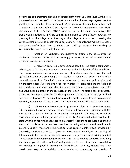governance and grassroots planning, calibrated right from the village level. As the state is covered under Schedule VI of the Constitution, neither the panchayat system nor the panchayat extension to scheduled areas (PESA) is applicable. The traditional village level institutions in the state include Nokma, Syiem, and Dolloi. At the same time, after 1952, Autonomous District Councils (ADCs) were set up in the state. Harmonising the traditional institutions with village councils is important to have effective participatory planning from the village level. Planning at the village level involves harnessing the various central projects to benefit the village economy in an effective manner to get the maximum benefits from them in addition to mobilising resources for spending on various public services desired by the people.

(ii) Creation of institutions and systems to promote the development of markets in the state. This will entail improving governance, as well as the development of market-promoting infrastructure.

(iii) A focus on sustainable development based on the state's comparative advantages so that natural resources are harnessed for the benefit of the population. This involves enhancing agricultural productivity through an expansion in irrigation and agricultural extension, promoting the cultivation of commercial crops, shifting tribal populations away from "jhuming" by encouraging them to take up organic farming, and by providing alternative rural livelihood opportunities by promoting the marketing of traditional crafts and small industries. It also involves promoting manufacturing activity and value addition based on the resources of the region. The state's pool of educated manpower provides a base for the development of information technology enabled services (ITES) as well. At the same time, given the fragile topography and ecosystem of the state, development has to be carried out in an environmentally sustainable manner.

(iv) Infrastructure development to promote markets and attract investment into the region. Improving the state's connectivity both within the region and with the rest of the country is key to its prosperity and growth. This requires significant investment in road, rail, and perhaps air connectivity. A good road network within the state which includes rural roads, opens up markets for labour and products, and enables the rural population to access basic services, including education and healthcare is essential. Equally important is the need to make regular, quality power available by harnessing the state's potential to generate power from its own hydel sources. A good telecommunications network can help overcome the problems of providing physical infrastructure in predominantly hilly terrain; it is vital to provide connectivity to bring the state at par with other well performing states, quite apart from being essential to the creation of a good IT trained workforce in the state. Agricultural and rural development requires, in addition to rural roads and connectivity, the creation of